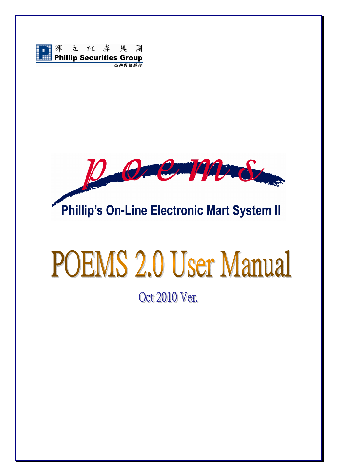



# **POEMS 2.0 User Manual**

Oct 2010 Ver.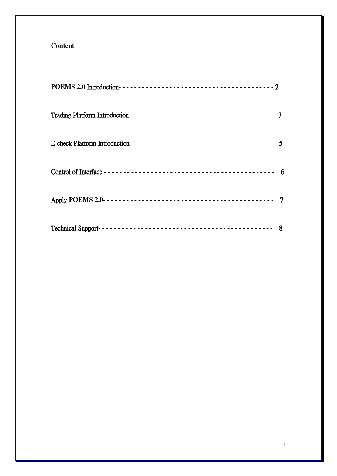# **Content**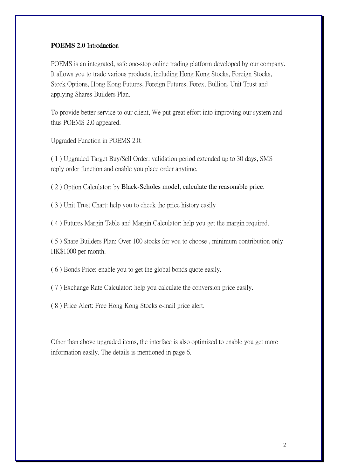### **POEMS 2.0** Introduction

POEMS is an integrated, safe one-stop online trading platform developed by our company. It allows you to trade various products, including Hong Kong Stocks, Foreign Stocks, Stock Options, Hong Kong Futures, Foreign Futures, Forex, Bullion, Unit Trust and applying Shares Builders Plan.

To provide better service to our client, We put great effort into improving our system and thus POEMS 2.0 appeared.

Upgraded Function in POEMS 2.0:

( 1 ) Upgraded Target Buy/Sell Order: validation period extended up to 30 days, SMS reply order function and enable you place order anytime.

( 2 ) Option Calculator: by Black-Scholes model, calculate the reasonable price.

( 3 ) Unit Trust Chart: help you to check the price history easily

( 4 ) Futures Margin Table and Margin Calculator: help you get the margin required.

( 5 ) Share Builders Plan: Over 100 stocks for you to choose , minimum contribution only HK\$1000 per month.

( 6 ) Bonds Price: enable you to get the global bonds quote easily.

( 7 ) Exchange Rate Calculator: help you calculate the conversion price easily.

( 8 ) Price Alert: Free Hong Kong Stocks e-mail price alert.

Other than above upgraded items, the interface is also optimized to enable you get more information easily. The details is mentioned in page 6.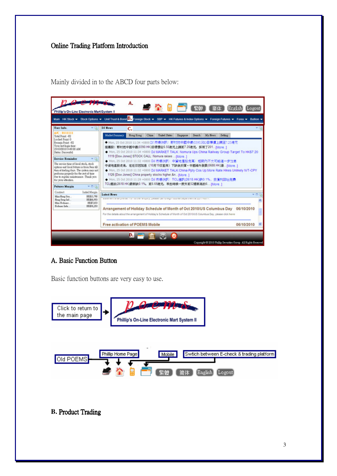# Online Trading Platform Introduction

Mainly divided in to the ABCD four parts below:



# A. Basic Function Button

Basic function buttons are very easy to use.



# **B.** Product Trading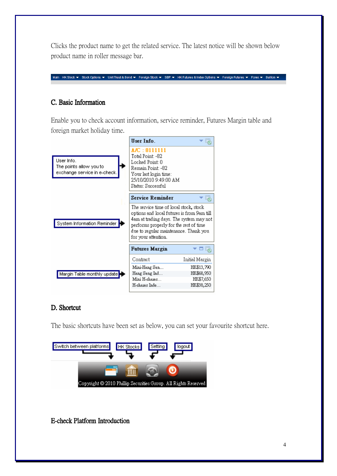Clicks the product name to get the related service. The latest notice will be shown below product name in roller message bar.

Main HK Stock ▼ Stock Options ▼ Unit Trust & Bond ▼ Foreign Stock ▼ SBP ▼ HK Futures & Index Options ▼ Foreign Futures ▼ Forex ▼ Bullion ▼

# C. Basic Information

Enable you to check account information, service reminder, Futures Margin table and foreign market holiday time.



# D. Shortcut

The basic shortcuts have been set as below, you can set your favourite shortcut here.



E-check Platform Introduction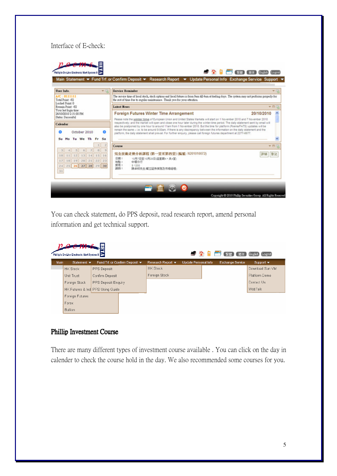# Interface of E-check:



You can check statement, do PPS deposit, read research report, amend personal information and get technical support.

| S A B FI<br>【繁體<br>简体<br>Phillip's On-Line Electronic Mart System II<br>English Logout |                                |                                  |                                |                                      |                             |  |                         |                              |  |
|----------------------------------------------------------------------------------------|--------------------------------|----------------------------------|--------------------------------|--------------------------------------|-----------------------------|--|-------------------------|------------------------------|--|
| <b>Main</b>                                                                            | Statement $\blacktriangledown$ |                                  | Fund Trf. or Confirm Deposit ▼ | Research Report $\blacktriangledown$ | <b>Update Personal Info</b> |  | <b>Exchange Service</b> | Support $\blacktriangledown$ |  |
|                                                                                        | <b>HK Stock</b>                | PPS Deposit                      |                                | <b>HK Stock</b>                      |                             |  |                         | Download Sun VM              |  |
|                                                                                        | Unit Trust                     | Confirm Deposit                  |                                | Foreign Stock                        |                             |  |                         | Platform Demo                |  |
|                                                                                        | Foreign Stock                  | <b>PPS Deposit Enquiry</b>       |                                |                                      |                             |  |                         | Contact Us                   |  |
|                                                                                        |                                | HK Futures & Ind PPS Using Guide |                                |                                      |                             |  |                         | <b>WebTalk</b>               |  |
|                                                                                        | Foreign Futures                |                                  |                                |                                      |                             |  |                         |                              |  |
|                                                                                        | Forex                          |                                  |                                |                                      |                             |  |                         |                              |  |
|                                                                                        | <b>Bullion</b>                 |                                  |                                |                                      |                             |  |                         |                              |  |

# Phillip Investment Course

There are many different types of investment course available . You can click on the day in calender to check the course hold in the day. We also recommended some courses for you.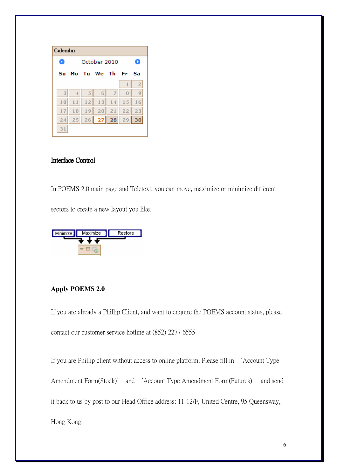| Calendar |              |    |       |      |    |                |  |  |  |  |
|----------|--------------|----|-------|------|----|----------------|--|--|--|--|
|          | October 2010 |    |       |      |    |                |  |  |  |  |
| Su       | Мο           |    | Tu We | - Th | Fr | Sa             |  |  |  |  |
|          |              |    |       |      | 1  | $\overline{2}$ |  |  |  |  |
| 3        | 4            | 5  | 6     | 7    | 8  | 9              |  |  |  |  |
| 10       | 11           | 12 | 13    | 14   | 15 | 16             |  |  |  |  |
| 17       | 18           | 19 | 20    | 21   | 22 | 23             |  |  |  |  |
| 24       | 25           | 26 | 27    | 28   | 29 | 30             |  |  |  |  |
| 31       |              |    |       |      |    |                |  |  |  |  |

# Interface Control

In POEMS 2.0 main page and Teletext, you can move, maximize or minimize different

sectors to create a new layout you like.



# **Apply POEMS 2.0**

If you are already a Phillip Client, and want to enquire the POEMS account status, please contact our customer service hotline at (852) 2277 6555

If you are Phillip client without access to online platform. Please fill in 'Account Type Amendment Form(Stock)' and 'Account Type Amendment Form(Futures)' and send it back to us by post to our Head Office address: 11-12/F, United Centre, 95 Queensway, Hong Kong.